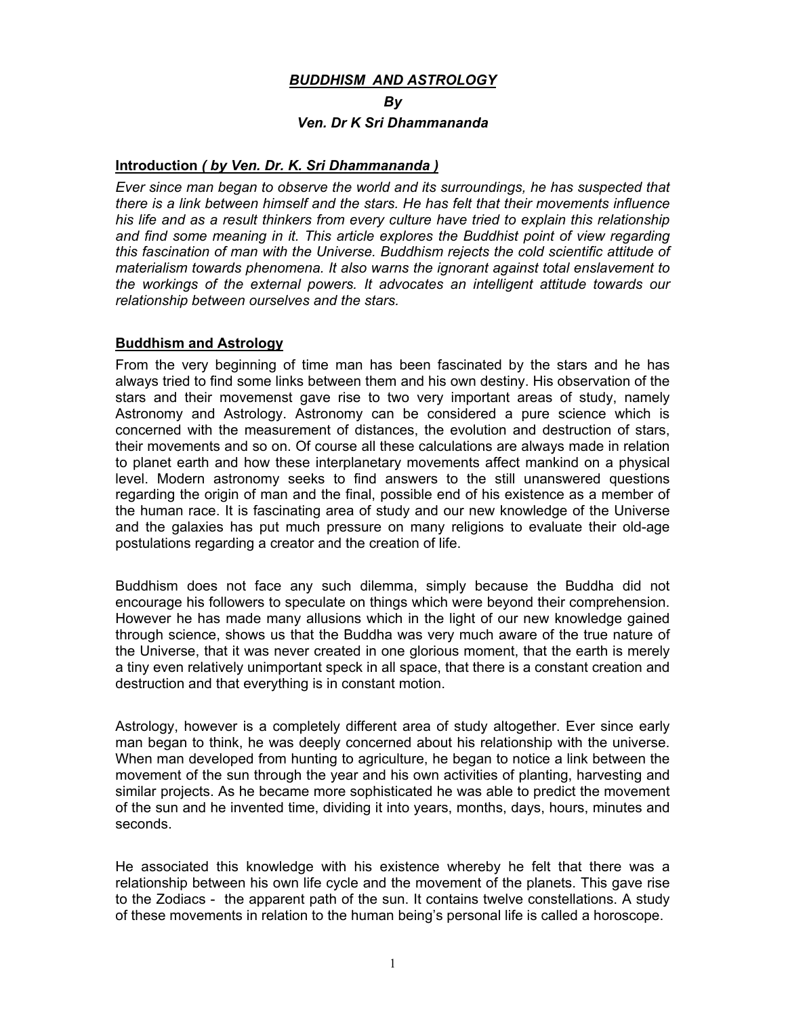## *BUDDHISM AND ASTROLOGY*

## *By*

*Ven. Dr K Sri Dhammananda* 

## **Introduction** *( by Ven. Dr. K. Sri Dhammananda )*

*Ever since man began to observe the world and its surroundings, he has suspected that there is a link between himself and the stars. He has felt that their movements influence his life and as a result thinkers from every culture have tried to explain this relationship and find some meaning in it. This article explores the Buddhist point of view regarding this fascination of man with the Universe. Buddhism rejects the cold scientific attitude of materialism towards phenomena. It also warns the ignorant against total enslavement to the workings of the external powers. It advocates an intelligent attitude towards our relationship between ourselves and the stars.* 

## **Buddhism and Astrology**

From the very beginning of time man has been fascinated by the stars and he has always tried to find some links between them and his own destiny. His observation of the stars and their movemenst gave rise to two very important areas of study, namely Astronomy and Astrology. Astronomy can be considered a pure science which is concerned with the measurement of distances, the evolution and destruction of stars, their movements and so on. Of course all these calculations are always made in relation to planet earth and how these interplanetary movements affect mankind on a physical level. Modern astronomy seeks to find answers to the still unanswered questions regarding the origin of man and the final, possible end of his existence as a member of the human race. It is fascinating area of study and our new knowledge of the Universe and the galaxies has put much pressure on many religions to evaluate their old-age postulations regarding a creator and the creation of life.

Buddhism does not face any such dilemma, simply because the Buddha did not encourage his followers to speculate on things which were beyond their comprehension. However he has made many allusions which in the light of our new knowledge gained through science, shows us that the Buddha was very much aware of the true nature of the Universe, that it was never created in one glorious moment, that the earth is merely a tiny even relatively unimportant speck in all space, that there is a constant creation and destruction and that everything is in constant motion.

Astrology, however is a completely different area of study altogether. Ever since early man began to think, he was deeply concerned about his relationship with the universe. When man developed from hunting to agriculture, he began to notice a link between the movement of the sun through the year and his own activities of planting, harvesting and similar projects. As he became more sophisticated he was able to predict the movement of the sun and he invented time, dividing it into years, months, days, hours, minutes and seconds.

He associated this knowledge with his existence whereby he felt that there was a relationship between his own life cycle and the movement of the planets. This gave rise to the Zodiacs - the apparent path of the sun. It contains twelve constellations. A study of these movements in relation to the human being's personal life is called a horoscope.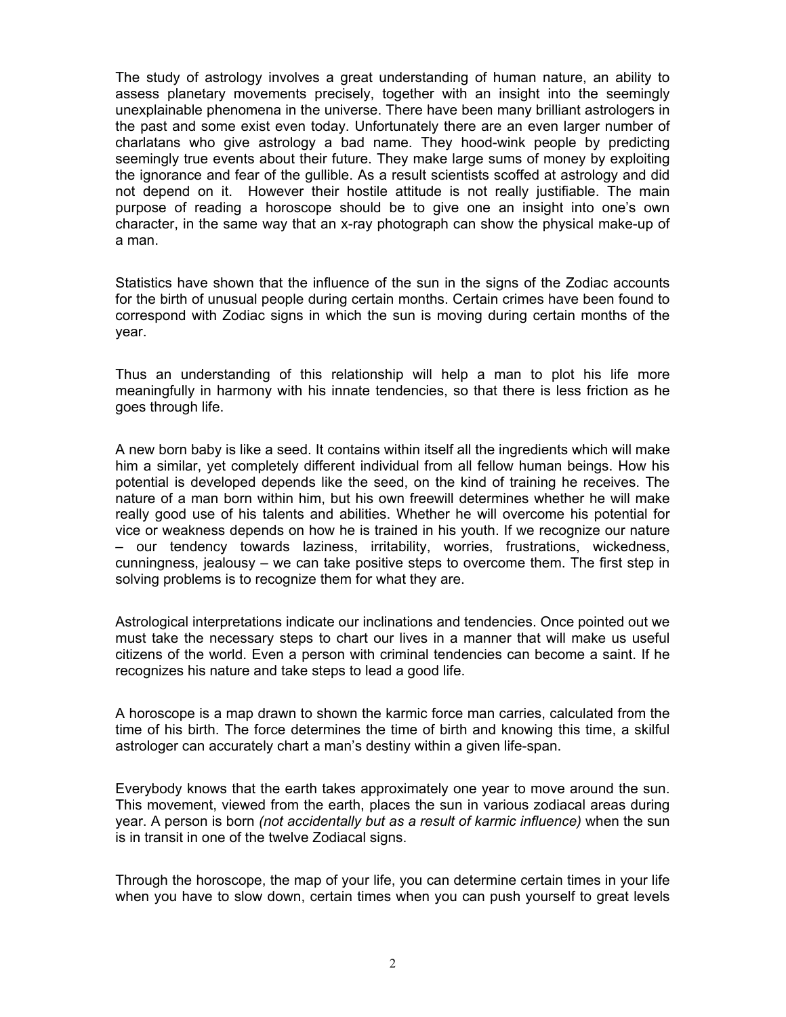The study of astrology involves a great understanding of human nature, an ability to assess planetary movements precisely, together with an insight into the seemingly unexplainable phenomena in the universe. There have been many brilliant astrologers in the past and some exist even today. Unfortunately there are an even larger number of charlatans who give astrology a bad name. They hood-wink people by predicting seemingly true events about their future. They make large sums of money by exploiting the ignorance and fear of the gullible. As a result scientists scoffed at astrology and did not depend on it. However their hostile attitude is not really justifiable. The main purpose of reading a horoscope should be to give one an insight into one's own character, in the same way that an x-ray photograph can show the physical make-up of a man.

Statistics have shown that the influence of the sun in the signs of the Zodiac accounts for the birth of unusual people during certain months. Certain crimes have been found to correspond with Zodiac signs in which the sun is moving during certain months of the year.

Thus an understanding of this relationship will help a man to plot his life more meaningfully in harmony with his innate tendencies, so that there is less friction as he goes through life.

A new born baby is like a seed. It contains within itself all the ingredients which will make him a similar, yet completely different individual from all fellow human beings. How his potential is developed depends like the seed, on the kind of training he receives. The nature of a man born within him, but his own freewill determines whether he will make really good use of his talents and abilities. Whether he will overcome his potential for vice or weakness depends on how he is trained in his youth. If we recognize our nature – our tendency towards laziness, irritability, worries, frustrations, wickedness, cunningness, jealousy – we can take positive steps to overcome them. The first step in solving problems is to recognize them for what they are.

Astrological interpretations indicate our inclinations and tendencies. Once pointed out we must take the necessary steps to chart our lives in a manner that will make us useful citizens of the world. Even a person with criminal tendencies can become a saint. If he recognizes his nature and take steps to lead a good life.

A horoscope is a map drawn to shown the karmic force man carries, calculated from the time of his birth. The force determines the time of birth and knowing this time, a skilful astrologer can accurately chart a man's destiny within a given life-span.

Everybody knows that the earth takes approximately one year to move around the sun. This movement, viewed from the earth, places the sun in various zodiacal areas during year. A person is born *(not accidentally but as a result of karmic influence)* when the sun is in transit in one of the twelve Zodiacal signs.

Through the horoscope, the map of your life, you can determine certain times in your life when you have to slow down, certain times when you can push yourself to great levels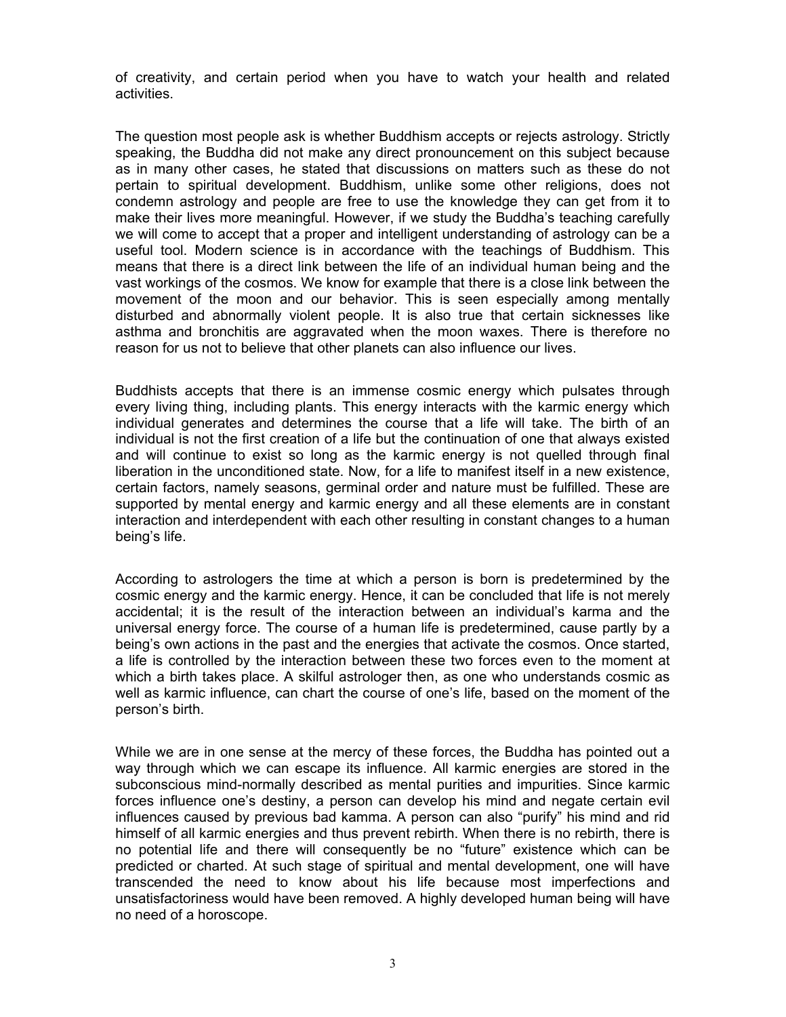of creativity, and certain period when you have to watch your health and related activities.

The question most people ask is whether Buddhism accepts or rejects astrology. Strictly speaking, the Buddha did not make any direct pronouncement on this subject because as in many other cases, he stated that discussions on matters such as these do not pertain to spiritual development. Buddhism, unlike some other religions, does not condemn astrology and people are free to use the knowledge they can get from it to make their lives more meaningful. However, if we study the Buddha's teaching carefully we will come to accept that a proper and intelligent understanding of astrology can be a useful tool. Modern science is in accordance with the teachings of Buddhism. This means that there is a direct link between the life of an individual human being and the vast workings of the cosmos. We know for example that there is a close link between the movement of the moon and our behavior. This is seen especially among mentally disturbed and abnormally violent people. It is also true that certain sicknesses like asthma and bronchitis are aggravated when the moon waxes. There is therefore no reason for us not to believe that other planets can also influence our lives.

Buddhists accepts that there is an immense cosmic energy which pulsates through every living thing, including plants. This energy interacts with the karmic energy which individual generates and determines the course that a life will take. The birth of an individual is not the first creation of a life but the continuation of one that always existed and will continue to exist so long as the karmic energy is not quelled through final liberation in the unconditioned state. Now, for a life to manifest itself in a new existence, certain factors, namely seasons, germinal order and nature must be fulfilled. These are supported by mental energy and karmic energy and all these elements are in constant interaction and interdependent with each other resulting in constant changes to a human being's life.

According to astrologers the time at which a person is born is predetermined by the cosmic energy and the karmic energy. Hence, it can be concluded that life is not merely accidental; it is the result of the interaction between an individual's karma and the universal energy force. The course of a human life is predetermined, cause partly by a being's own actions in the past and the energies that activate the cosmos. Once started, a life is controlled by the interaction between these two forces even to the moment at which a birth takes place. A skilful astrologer then, as one who understands cosmic as well as karmic influence, can chart the course of one's life, based on the moment of the person's birth.

While we are in one sense at the mercy of these forces, the Buddha has pointed out a way through which we can escape its influence. All karmic energies are stored in the subconscious mind-normally described as mental purities and impurities. Since karmic forces influence one's destiny, a person can develop his mind and negate certain evil influences caused by previous bad kamma. A person can also "purify" his mind and rid himself of all karmic energies and thus prevent rebirth. When there is no rebirth, there is no potential life and there will consequently be no "future" existence which can be predicted or charted. At such stage of spiritual and mental development, one will have transcended the need to know about his life because most imperfections and unsatisfactoriness would have been removed. A highly developed human being will have no need of a horoscope.